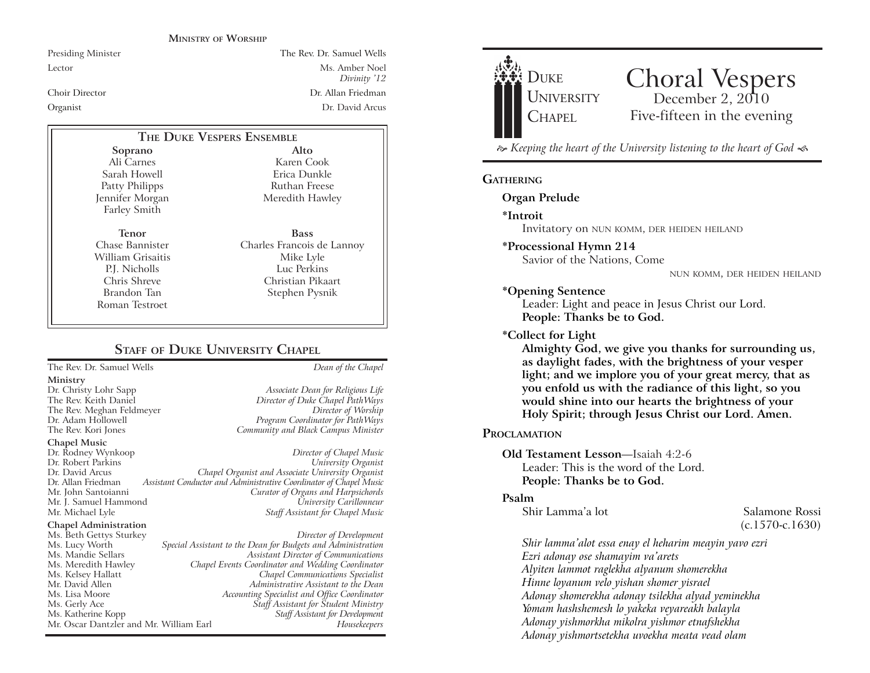#### **MINISTRY OF WORSHIP**

Presiding Minister The Rev. Dr. Samuel Wells

Lector Ms. Amber Noel *Divinity* '12 Choir Director Dr. Allan Friedman Organist Dr. David Arcus

## **THE DUKE VESPERS ENSEMBLE**

**Soprano** Ali Carnes Sarah Howell Patty Philipps Jennifer Morgan Farley Smith

**Tenor** Chase Bannister William Grisaitis P.J. Nicholls Chris Shreve Brandon Tan Roman Testroet

Erica Dunkle Ruthan Freese Meredith Hawley **Bass** Charles Francois de Lannoy Mike Lyle

**Alto** Karen Cook

Luc Perkins Christian Pikaart Stephen Pysnik

# **STAFF** OF **DUKE UNIVERSITY CHAPEL**

The Rev. Dr. Samuel Wells *Dean of the Chapel*

**Ministry**

The Rev. Meghan Feldmeyer<br>Dr. Adam Hollowell

**Chapel Music**

Dr. Rodney Wynkoop *Director of Chapel Music* Dr. David Arcus *Chapel Organist and Associate University Organist* Dr. Allan Friedman *Assistant Conductor and Administrative Coordinator of Chapel Music* Mr. J. Samuel Hammond<br>Mr. Michael Lyle

#### **Chapel Administration**

Mr. Oscar Dantzler and Mr. William Earl

Dr. Christy Lohr Sapp *Associate Dean for Religious Life* The Rev. Keith Daniel *Director of Duke Chapel PathWays* Program Coordinator for PathWays The Rev. Kori Jones *Community and Black Campus Minister*

> $University$  *Organist* Mr. John Santoianni *Curator of Organs and Harpsichords* **Staff Assistant for Chapel Music**

Ms. Beth Gettys Sturkey *Director of Development* Ms. Lucy Worth *Special Assistant to the Dean for Budgets and Administration* Ms. Mandie Sellars *Assistant Director of Communications* Ms. Meredith Hawley *Chapel Events Coordinator and Wedding Coordinator* Ms. Kelsey Hallatt *Chapel Communications Specialist* Mr. David Allen *Administrative Assistant to the Dean* Ms. Lisa Moore *Accounting Specialist and Office Coordinator*  $\tilde{S}$ taff Assistant for  $\tilde{S}$ tudent Ministry Ms. Katherine Kopp *Staff Assistant for Development*



# Choral Vespers<br>
December 2, 2010 Five-fifteen in the evening

 $\approx$  Keeping the heart of the University listening to the heart of God  $\ll$ 

#### **GATHERING**

**Organ Prelude**

**\*Introit** 

Invitatory on NUN KOMM, DER HEIDEN HEILAND

#### **\*Processional Hymn 214**

Savior of the Nations, Come

NUN KOMM, DER HEIDEN HEILAND

#### **\*Opening Sentence**

Leader: Light and peace in Jesus Christ our Lord. **People: Thanks be to God.**

#### **\*Collect for Light**

**Almighty God, we give you thanks for surrounding us, as daylight fades, with the brightness of your vesper light; and we implore you of your great mercy, that as you enfold us with the radiance of this light, so you would shine into our hearts the brightness of your Holy Spirit; through Jesus Christ our Lord. Amen.** 

#### **PROCLAMATION**

## **Old Testament Lesson—Isaiah 4:2-6** Leader: This is the word of the Lord. **People: Thanks be to God.**

#### **Psalm**

Shir Lamma'a lot Salamone Rossi

(c.1570-c.1630)

*Shir lamma(alot essa enay el heharim meayin yavo ezri Ezri adonay ose shamayim va(arets Alyiten lammot raglekha alyanum shomerekha Hinne loyanum velo yishan shomer yisrael Adonay shomerekha adonay tsilekha alyad yeminekha Yomam hashshemesh lo yakeka veyareakh balayla Adonay yishmorkha mikolra yishmor etnafshekha Adonay yishmortsetekha uvoekha meata vead olam*